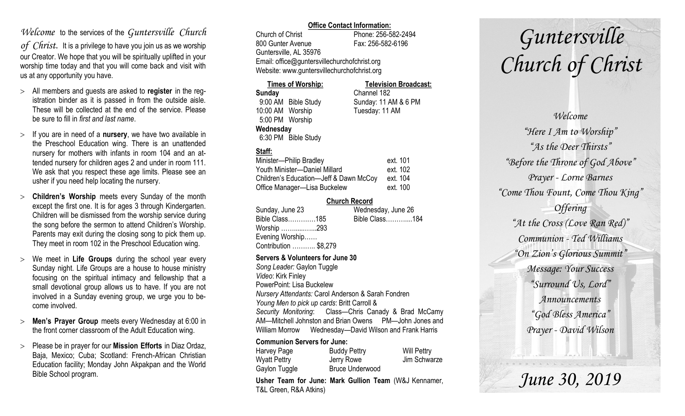# *Welcome* to the services of the *Guntersville Church*

*of Christ*. It is a privilege to have you join us as we worship our Creator. We hope that you will be spiritually uplifted in your worship time today and that you will come back and visit with us at any opportunity you have.

- All members and guests are asked to **register** in the registration binder as it is passed in from the outside aisle. These will be collected at the end of the service. Please be sure to fill in *first and last name*.
- $>$  If you are in need of a **nursery**, we have two available in the Preschool Education wing. There is an unattended nursery for mothers with infants in room 104 and an attended nursery for children ages 2 and under in room 111. We ask that you respect these age limits. Please see an usher if you need help locating the nursery.
- **Children's Worship** meets every Sunday of the month except the first one. It is for ages 3 through Kindergarten. Children will be dismissed from the worship service during the song before the sermon to attend Children's Worship. Parents may exit during the closing song to pick them up. They meet in room 102 in the Preschool Education wing.
- We meet in **Life Groups** during the school year every Sunday night. Life Groups are a house to house ministry focusing on the spiritual intimacy and fellowship that a small devotional group allows us to have. If you are not involved in a Sunday evening group, we urge you to become involved.
- **Men's Prayer Group** meets every Wednesday at 6:00 in the front corner classroom of the Adult Education wing.
- Please be in prayer for our **Mission Efforts** in Diaz Ordaz, Baja, Mexico; Cuba; Scotland: French-African Christian Education facility; Monday John Akpakpan and the World Bible School program.

## **Office Contact Information:**

Church of Christ Phone: 256-582-2494 800 Gunter Avenue Fax: 256-582-6196 Guntersville, AL 35976 Email: office@guntersvillechurchofchrist.org Website: www.guntersvillechurchofchrist.org

#### **Times of Worship: Television Broadcast: Sunday** Channel 182 9:00 AM Bible Study Sunday: 11 AM & 6 PM 10:00 AM Worship Tuesday: 11 AM 5:00 PM Worship **Wednesday** 6:30 PM Bible Study

# **Staff:**

| Minister-Philip Bradley                | ext. 101 |
|----------------------------------------|----------|
| Youth Minister-Daniel Millard          | ext. 102 |
| Children's Education-Jeff & Dawn McCoy | ext. 104 |
| Office Manager-Lisa Buckelew           | ext. 100 |

## **Church Record**

|                       | Wednesday, June 26 |  |
|-----------------------|--------------------|--|
| Bible Class185        | Bible Class184     |  |
| Worship 293           |                    |  |
| Evening Worship       |                    |  |
| Contribution  \$8,279 |                    |  |
|                       |                    |  |

### **Servers & Volunteers for June 30**

*Song Leader:* Gaylon Tuggle *Video*: Kirk Finley PowerPoint: Lisa Buckelew *Nursery Attendants:* Carol Anderson & Sarah Fondren *Young Men to pick up cards*: Britt Carroll & *Security Monitoring*: Class—Chris Canady & Brad McCamy AM—Mitchell Johnston and Brian Owens PM—John Jones and William Morrow Wednesday—David Wilson and Frank Harris

### **Communion Servers for June:**

| Harvey Page   | <b>Buddy Pettry</b>    | <b>Will Pettry</b> |
|---------------|------------------------|--------------------|
| Wyatt Pettry  | Jerry Rowe             | Jim Schwarze       |
| Gaylon Tuggle | <b>Bruce Underwood</b> |                    |

**Usher Team for June: Mark Gullion Team** (W&J Kennamer, T&L Green, R&A Atkins)

# *Guntersville Church of Christ*

*Welcome "Here I Am to Worship" "As the Deer Thirsts" "Before the Throne of God Above" Prayer - Lorne Barnes "Come Thou Fount, Come Thou King" Offering "At the Cross (Love Ran Red)" Communion - Ted Williams "On Zion's Glorious Summit" Message: Your Success "Surround Us, Lord" Announcements "God Bless America" Prayer - David Wilson*

*June 30, 2019*